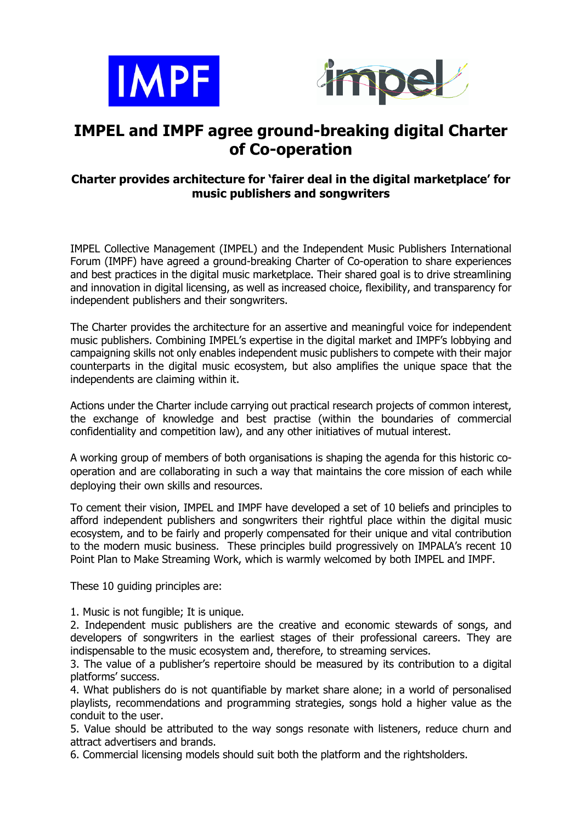



## **IMPEL and IMPF agree ground-breaking digital Charter of Co-operation**

## **Charter provides architecture for 'fairer deal in the digital marketplace' for music publishers and songwriters**

IMPEL Collective Management (IMPEL) and the Independent Music Publishers International Forum (IMPF) have agreed a ground-breaking Charter of Co-operation to share experiences and best practices in the digital music marketplace. Their shared goal is to drive streamlining and innovation in digital licensing, as well as increased choice, flexibility, and transparency for independent publishers and their songwriters.

The Charter provides the architecture for an assertive and meaningful voice for independent music publishers. Combining IMPEL's expertise in the digital market and IMPF's lobbying and campaigning skills not only enables independent music publishers to compete with their major counterparts in the digital music ecosystem, but also amplifies the unique space that the independents are claiming within it.

Actions under the Charter include carrying out practical research projects of common interest, the exchange of knowledge and best practise (within the boundaries of commercial confidentiality and competition law), and any other initiatives of mutual interest.

A working group of members of both organisations is shaping the agenda for this historic cooperation and are collaborating in such a way that maintains the core mission of each while deploying their own skills and resources.

To cement their vision, IMPEL and IMPF have developed a set of 10 beliefs and principles to afford independent publishers and songwriters their rightful place within the digital music ecosystem, and to be fairly and properly compensated for their unique and vital contribution to the modern music business. These principles build progressively on IMPALA's recent 10 Point Plan to Make Streaming Work, which is warmly welcomed by both IMPEL and IMPF.

These 10 guiding principles are:

1. Music is not fungible; It is unique.

2. Independent music publishers are the creative and economic stewards of songs, and developers of songwriters in the earliest stages of their professional careers. They are indispensable to the music ecosystem and, therefore, to streaming services.

3. The value of a publisher's repertoire should be measured by its contribution to a digital platforms' success.

4. What publishers do is not quantifiable by market share alone; in a world of personalised playlists, recommendations and programming strategies, songs hold a higher value as the conduit to the user.

5. Value should be attributed to the way songs resonate with listeners, reduce churn and attract advertisers and brands.

6. Commercial licensing models should suit both the platform and the rightsholders.